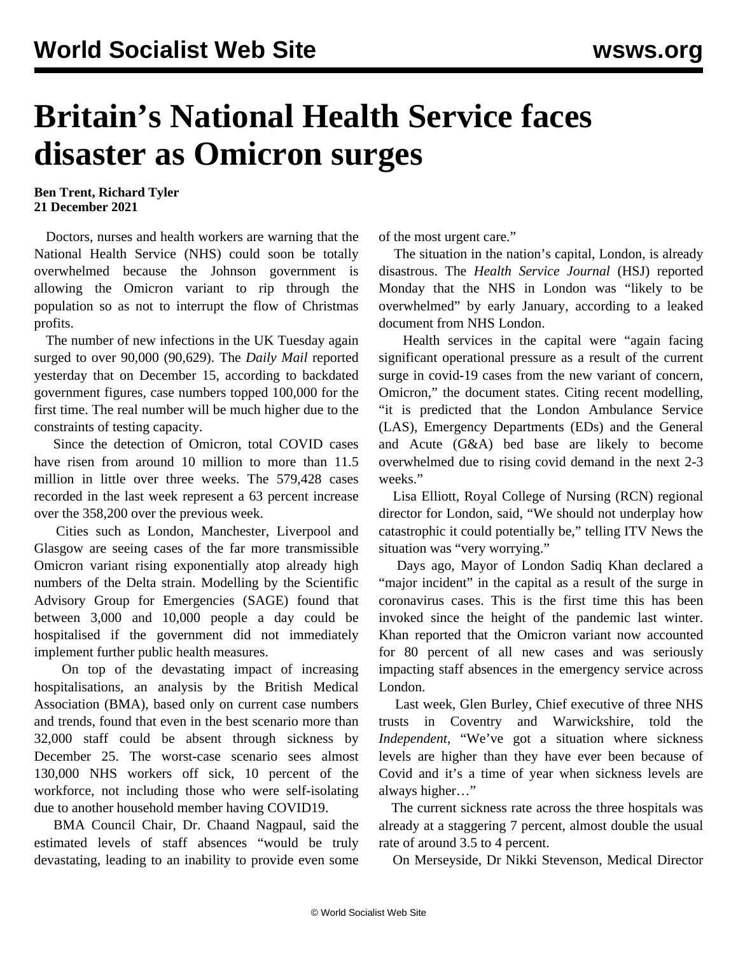## **Britain's National Health Service faces disaster as Omicron surges**

**Ben Trent, Richard Tyler 21 December 2021**

 Doctors, nurses and health workers are warning that the National Health Service (NHS) could soon be totally overwhelmed because the Johnson government is allowing the Omicron variant to rip through the population so as not to interrupt the flow of Christmas profits.

 The number of new infections in the UK Tuesday again surged to over 90,000 (90,629). The *Daily Mail* reported yesterday that on December 15, according to backdated government figures, case numbers topped 100,000 for the first time. The real number will be much higher due to the constraints of testing capacity.

 Since the detection of Omicron, total COVID cases have risen from around 10 million to more than 11.5 million in little over three weeks. The 579,428 cases recorded in the last week represent a 63 percent increase over the 358,200 over the previous week.

 Cities such as London, Manchester, Liverpool and Glasgow are seeing cases of the far more transmissible Omicron variant rising exponentially atop already high numbers of the Delta strain. Modelling by the Scientific Advisory Group for Emergencies (SAGE) found that between 3,000 and 10,000 people a day could be hospitalised if the government did not immediately implement further public health measures.

 On top of the devastating impact of increasing hospitalisations, an analysis by the British Medical Association (BMA), based only on current case numbers and trends, found that even in the best scenario more than 32,000 staff could be absent through sickness by December 25. The worst-case scenario sees almost 130,000 NHS workers off sick, 10 percent of the workforce, not including those who were self-isolating due to another household member having COVID19.

 BMA Council Chair, Dr. Chaand Nagpaul, said the estimated levels of staff absences "would be truly devastating, leading to an inability to provide even some of the most urgent care."

 The situation in the nation's capital, London, is already disastrous. The *Health Service Journal* (HSJ) reported Monday that the NHS in London was "likely to be overwhelmed" by early January, according to a leaked document from NHS London.

 Health services in the capital were "again facing significant operational pressure as a result of the current surge in covid-19 cases from the new variant of concern, Omicron," the document states. Citing recent modelling, "it is predicted that the London Ambulance Service (LAS), Emergency Departments (EDs) and the General and Acute (G&A) bed base are likely to become overwhelmed due to rising covid demand in the next 2-3 weeks."

 Lisa Elliott, Royal College of Nursing (RCN) regional director for London, said, "We should not underplay how catastrophic it could potentially be," telling ITV News the situation was "very worrying."

 Days ago, Mayor of London Sadiq Khan declared a "major incident" in the capital as a result of the surge in coronavirus cases. This is the first time this has been invoked since the height of the pandemic last winter. Khan reported that the Omicron variant now accounted for 80 percent of all new cases and was seriously impacting staff absences in the emergency service across London.

 Last week, Glen Burley, Chief executive of three NHS trusts in Coventry and Warwickshire, told the *Independent*, "We've got a situation where sickness levels are higher than they have ever been because of Covid and it's a time of year when sickness levels are always higher…"

 The current sickness rate across the three hospitals was already at a staggering 7 percent, almost double the usual rate of around 3.5 to 4 percent.

On Merseyside, Dr Nikki Stevenson, Medical Director